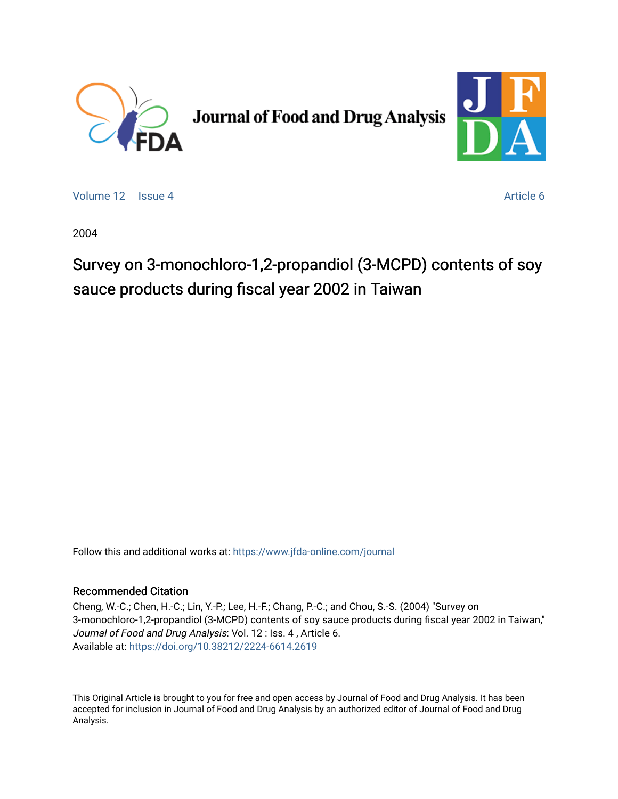



[Volume 12](https://www.jfda-online.com/journal/vol12) | [Issue 4](https://www.jfda-online.com/journal/vol12/iss4) Article 6

2004

# Survey on 3-monochloro-1,2-propandiol (3-MCPD) contents of soy sauce products during fiscal year 2002 in Taiwan

Follow this and additional works at: [https://www.jfda-online.com/journal](https://www.jfda-online.com/journal?utm_source=www.jfda-online.com%2Fjournal%2Fvol12%2Fiss4%2F6&utm_medium=PDF&utm_campaign=PDFCoverPages)

# Recommended Citation

Cheng, W.-C.; Chen, H.-C.; Lin, Y.-P.; Lee, H.-F.; Chang, P.-C.; and Chou, S.-S. (2004) "Survey on 3-monochloro-1,2-propandiol (3-MCPD) contents of soy sauce products during fiscal year 2002 in Taiwan," Journal of Food and Drug Analysis: Vol. 12 : Iss. 4 , Article 6. Available at:<https://doi.org/10.38212/2224-6614.2619>

This Original Article is brought to you for free and open access by Journal of Food and Drug Analysis. It has been accepted for inclusion in Journal of Food and Drug Analysis by an authorized editor of Journal of Food and Drug Analysis.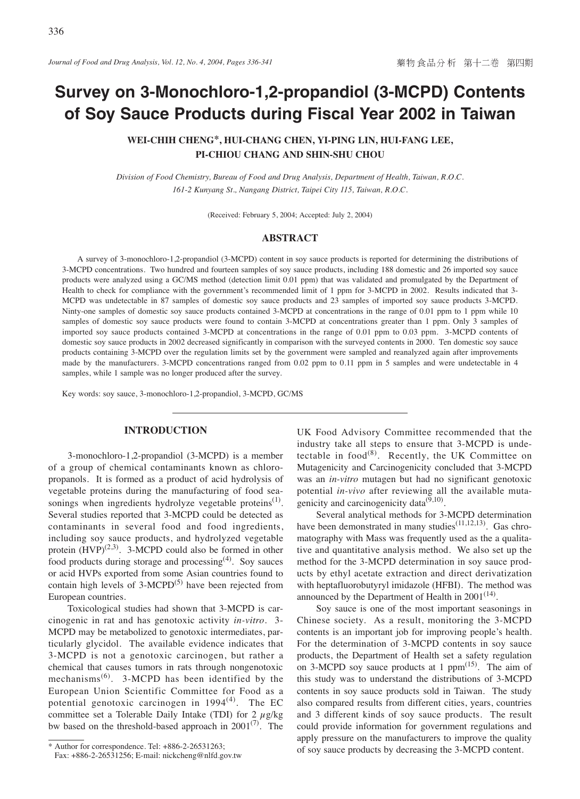# **Survey on 3-Monochloro-1,2-propandiol (3-MCPD) Contents of Soy Sauce Products during Fiscal Year 2002 in Taiwan**

**WEI-CHIH CHENG\*, HUI-CHANG CHEN, YI-PING LIN, HUI-FANG LEE, PI-CHIOU CHANG AND SHIN-SHU CHOU**

*Division of Food Chemistry, Bureau of Food and Drug Analysis, Department of Health, Taiwan, R.O.C. 161-2 Kunyang St., Nangang District, Taipei City 115, Taiwan, R.O.C.*

(Received: February 5, 2004; Accepted: July 2, 2004)

## **ABSTRACT**

A survey of 3-monochloro-1,2-propandiol (3-MCPD) content in soy sauce products is reported for determining the distributions of 3-MCPD concentrations. Two hundred and fourteen samples of soy sauce products, including 188 domestic and 26 imported soy sauce products were analyzed using a GC/MS method (detection limit 0.01 ppm) that was validated and promulgated by the Department of Health to check for compliance with the government's recommended limit of 1 ppm for 3-MCPD in 2002. Results indicated that 3- MCPD was undetectable in 87 samples of domestic soy sauce products and 23 samples of imported soy sauce products 3-MCPD. Ninty-one samples of domestic soy sauce products contained 3-MCPD at concentrations in the range of 0.01 ppm to 1 ppm while 10 samples of domestic soy sauce products were found to contain 3-MCPD at concentrations greater than 1 ppm. Only 3 samples of imported soy sauce products contained 3-MCPD at concentrations in the range of 0.01 ppm to 0.03 ppm. 3-MCPD contents of domestic soy sauce products in 2002 decreased significantly in comparison with the surveyed contents in 2000. Ten domestic soy sauce products containing 3-MCPD over the regulation limits set by the government were sampled and reanalyzed again after improvements made by the manufacturers. 3-MCPD concentrations ranged from 0.02 ppm to 0.11 ppm in 5 samples and were undetectable in 4 samples, while 1 sample was no longer produced after the survey.

Key words: soy sauce, 3-monochloro-1,2-propandiol, 3-MCPD, GC/MS

# **INTRODUCTION**

3-monochloro-1,2-propandiol (3-MCPD) is a member of a group of chemical contaminants known as chloropropanols. It is formed as a product of acid hydrolysis of vegetable proteins during the manufacturing of food seasonings when ingredients hydrolyze vegetable proteins $(1)$ . Several studies reported that 3-MCPD could be detected as contaminants in several food and food ingredients, including soy sauce products, and hydrolyzed vegetable protein  $(HVP)^{(2,3)}$ . 3-MCPD could also be formed in other food products during storage and processing $(4)$ . Soy sauces or acid HVPs exported from some Asian countries found to contain high levels of  $3-MCPD^{(5)}$  have been rejected from European countries.

Toxicological studies had shown that 3-MCPD is carcinogenic in rat and has genotoxic activity *in-vitro*. 3- MCPD may be metabolized to genotoxic intermediates, particularly glycidol. The available evidence indicates that 3-MCPD is not a genotoxic carcinogen, but rather a chemical that causes tumors in rats through nongenotoxic mechanisms<sup>(6)</sup>. 3-MCPD has been identified by the European Union Scientific Committee for Food as a potential genotoxic carcinogen in  $1994<sup>(4)</sup>$ . The EC committee set a Tolerable Daily Intake (TDI) for  $2 \mu g/kg$ bw based on the threshold-based approach in  $2001^{(7)}$ . The

Author for correspondence. Tel:  $+886-2-26531263$ ;

UK Food Advisory Committee recommended that the industry take all steps to ensure that 3-MCPD is undetectable in  $food^{(8)}$ . Recently, the UK Committee on Mutagenicity and Carcinogenicity concluded that 3-MCPD was an *in-vitro* mutagen but had no significant genotoxic potential *in-vivo* after reviewing all the available mutagenicity and carcinogenicity data $(\bar{9},10)$ .

Several analytical methods for 3-MCPD determination have been demonstrated in many studies<sup>(11,12,13)</sup>. Gas chromatography with Mass was frequently used as the a qualitative and quantitative analysis method. We also set up the method for the 3-MCPD determination in soy sauce products by ethyl acetate extraction and direct derivatization with heptafluorobutyryl imidazole (HFBI). The method was announced by the Department of Health in  $2001^{(14)}$ .

Soy sauce is one of the most important seasonings in Chinese society. As a result, monitoring the 3-MCPD contents is an important job for improving people's health. For the determination of 3-MCPD contents in soy sauce products, the Department of Health set a safety regulation on 3-MCPD soy sauce products at 1  $ppm$ <sup> $(15)$ </sup>. The aim of this study was to understand the distributions of 3-MCPD contents in soy sauce products sold in Taiwan. The study also compared results from different cities, years, countries and 3 different kinds of soy sauce products. The result could provide information for government regulations and apply pressure on the manufacturers to improve the quality of soy sauce products by decreasing the 3-MCPD content.

Fax: +886-2-26531256; E-mail: nickcheng@nlfd.gov.tw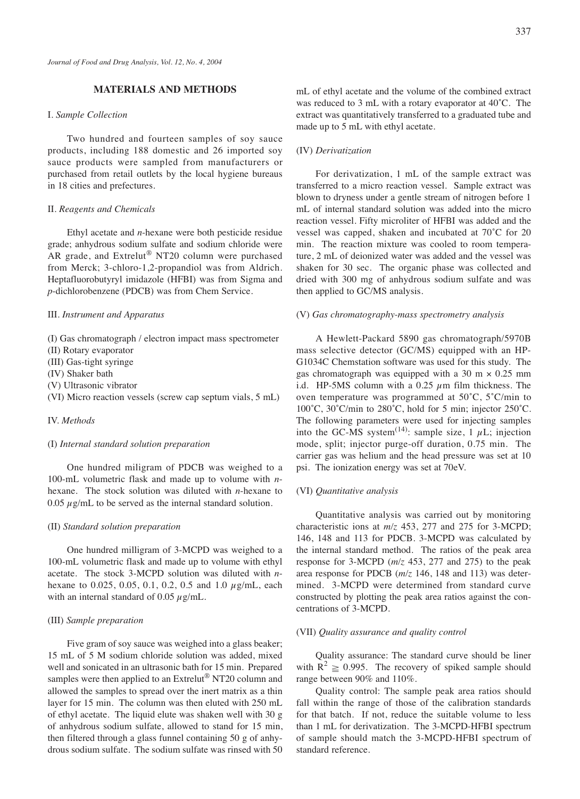# **MATERIALS AND METHODS**

# I. *Sample Collection*

Two hundred and fourteen samples of soy sauce products, including 188 domestic and 26 imported soy sauce products were sampled from manufacturers or purchased from retail outlets by the local hygiene bureaus in 18 cities and prefectures.

#### II. *Reagents and Chemicals*

Ethyl acetate and *n*-hexane were both pesticide residue grade; anhydrous sodium sulfate and sodium chloride were AR grade, and Extrelut® NT20 column were purchased from Merck; 3-chloro-1,2-propandiol was from Aldrich. Heptafluorobutyryl imidazole (HFBI) was from Sigma and *p*-dichlorobenzene (PDCB) was from Chem Service.

## III. *Instrument and Apparatus*

- (I) Gas chromatograph / electron impact mass spectrometer
- (II) Rotary evaporator
- (III) Gas-tight syringe
- (IV) Shaker bath
- (V) Ultrasonic vibrator
- (VI) Micro reaction vessels (screw cap septum vials, 5 mL)

#### IV. *Methods*

#### (I) *Internal standard solution preparation*

One hundred miligram of PDCB was weighed to a 100-mL volumetric flask and made up to volume with *n*hexane. The stock solution was diluted with *n*-hexane to  $0.05 \mu$ g/mL to be served as the internal standard solution.

#### (II) *Standard solution preparation*

One hundred milligram of 3-MCPD was weighed to a 100-mL volumetric flask and made up to volume with ethyl acetate. The stock 3-MCPD solution was diluted with *n*hexane to 0.025, 0.05, 0.1, 0.2, 0.5 and 1.0  $\mu$ g/mL, each with an internal standard of 0.05  $\mu$ g/mL.

#### (III) *Sample preparation*

Five gram of soy sauce was weighed into a glass beaker; 15 mL of 5 M sodium chloride solution was added, mixed well and sonicated in an ultrasonic bath for 15 min. Prepared samples were then applied to an Extrelut<sup>®</sup> NT20 column and allowed the samples to spread over the inert matrix as a thin layer for 15 min. The column was then eluted with 250 mL of ethyl acetate. The liquid elute was shaken well with 30 g of anhydrous sodium sulfate, allowed to stand for 15 min, then filtered through a glass funnel containing 50 g of anhydrous sodium sulfate. The sodium sulfate was rinsed with 50

mL of ethyl acetate and the volume of the combined extract was reduced to 3 mL with a rotary evaporator at 40˚C. The extract was quantitatively transferred to a graduated tube and made up to 5 mL with ethyl acetate.

#### (IV) *Derivatization*

For derivatization, 1 mL of the sample extract was transferred to a micro reaction vessel. Sample extract was blown to dryness under a gentle stream of nitrogen before 1 mL of internal standard solution was added into the micro reaction vessel. Fifty microliter of HFBI was added and the vessel was capped, shaken and incubated at 70˚C for 20 min. The reaction mixture was cooled to room temperature, 2 mL of deionized water was added and the vessel was shaken for 30 sec. The organic phase was collected and dried with 300 mg of anhydrous sodium sulfate and was then applied to GC/MS analysis.

### (V) *Gas chromatography-mass spectrometry analysis*

A Hewlett-Packard 5890 gas chromatograph/5970B mass selective detector (GC/MS) equipped with an HP-G1034C Chemstation software was used for this study. The gas chromatograph was equipped with a 30 m  $\times$  0.25 mm i.d. HP-5MS column with a 0.25  $\mu$ m film thickness. The oven temperature was programmed at 50˚C, 5˚C/min to 100˚C, 30˚C/min to 280˚C, hold for 5 min; injector 250˚C. The following parameters were used for injecting samples into the GC-MS system<sup>(14)</sup>: sample size, 1  $\mu$ L; injection mode, split; injector purge-off duration, 0.75 min. The carrier gas was helium and the head pressure was set at 10 psi. The ionization energy was set at 70eV.

#### (VI) *Quantitative analysis*

Quantitative analysis was carried out by monitoring characteristic ions at *m/z* 453, 277 and 275 for 3-MCPD; 146, 148 and 113 for PDCB. 3-MCPD was calculated by the internal standard method. The ratios of the peak area response for 3-MCPD (*m/z* 453, 277 and 275) to the peak area response for PDCB (*m/z* 146, 148 and 113) was determined. 3-MCPD were determined from standard curve constructed by plotting the peak area ratios against the concentrations of 3-MCPD.

#### (VII) *Quality assurance and quality control*

Quality assurance: The standard curve should be liner with  $R^2 \ge 0.995$ . The recovery of spiked sample should range between 90% and 110%.

Quality control: The sample peak area ratios should fall within the range of those of the calibration standards for that batch. If not, reduce the suitable volume to less than 1 mL for derivatization. The 3-MCPD-HFBI spectrum of sample should match the 3-MCPD-HFBI spectrum of standard reference.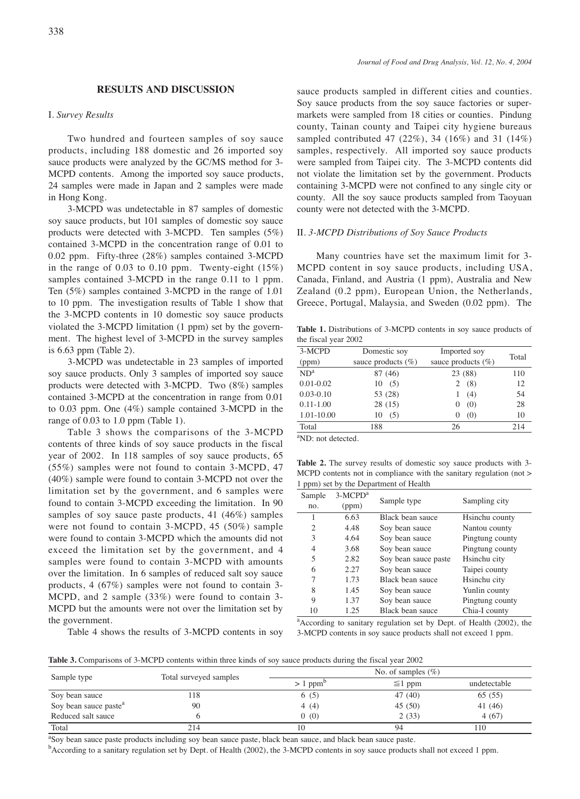### **RESULTS AND DISCUSSION**

### I. *Survey Results*

Two hundred and fourteen samples of soy sauce products, including 188 domestic and 26 imported soy sauce products were analyzed by the GC/MS method for 3- MCPD contents. Among the imported soy sauce products, 24 samples were made in Japan and 2 samples were made in Hong Kong.

3-MCPD was undetectable in 87 samples of domestic soy sauce products, but 101 samples of domestic soy sauce products were detected with 3-MCPD. Ten samples (5%) contained 3-MCPD in the concentration range of 0.01 to 0.02 ppm. Fifty-three (28%) samples contained 3-MCPD in the range of 0.03 to 0.10 ppm. Twenty-eight (15%) samples contained 3-MCPD in the range 0.11 to 1 ppm. Ten (5%) samples contained 3-MCPD in the range of 1.01 to 10 ppm. The investigation results of Table 1 show that the 3-MCPD contents in 10 domestic soy sauce products violated the 3-MCPD limitation (1 ppm) set by the government. The highest level of 3-MCPD in the survey samples is 6.63 ppm (Table 2).

3-MCPD was undetectable in 23 samples of imported soy sauce products. Only 3 samples of imported soy sauce products were detected with 3-MCPD. Two (8%) samples contained 3-MCPD at the concentration in range from 0.01 to 0.03 ppm. One (4%) sample contained 3-MCPD in the range of 0.03 to 1.0 ppm (Table 1).

Table 3 shows the comparisons of the 3-MCPD contents of three kinds of soy sauce products in the fiscal year of 2002. In 118 samples of soy sauce products, 65 (55%) samples were not found to contain 3-MCPD, 47 (40%) sample were found to contain 3-MCPD not over the limitation set by the government, and 6 samples were found to contain 3-MCPD exceeding the limitation. In 90 samples of soy sauce paste products, 41 (46%) samples were not found to contain 3-MCPD, 45 (50%) sample were found to contain 3-MCPD which the amounts did not exceed the limitation set by the government, and 4 samples were found to contain 3-MCPD with amounts over the limitation. In 6 samples of reduced salt soy sauce products, 4 (67%) samples were not found to contain 3- MCPD, and 2 sample (33%) were found to contain 3- MCPD but the amounts were not over the limitation set by the government.

Table 4 shows the results of 3-MCPD contents in soy

sauce products sampled in different cities and counties. Soy sauce products from the soy sauce factories or supermarkets were sampled from 18 cities or counties. Pindung county, Tainan county and Taipei city hygiene bureaus sampled contributed 47 (22%), 34 (16%) and 31 (14%) samples, respectively. All imported soy sauce products were sampled from Taipei city. The 3-MCPD contents did not violate the limitation set by the government. Products containing 3-MCPD were not confined to any single city or county. All the soy sauce products sampled from Taoyuan county were not detected with the 3-MCPD.

#### II. *3-MCPD Distributions of Soy Sauce Products*

Many countries have set the maximum limit for 3- MCPD content in soy sauce products, including USA, Canada, Finland, and Austria (1 ppm), Australia and New Zealand (0.2 ppm), European Union, the Netherlands, Greece, Portugal, Malaysia, and Sweden (0.02 ppm). The

**Table 1.** Distributions of 3-MCPD contents in soy sauce products of the fiscal year 2002

| 3-MCPD          | Domestic soy          | Imported soy          | Total |
|-----------------|-----------------------|-----------------------|-------|
| (ppm)           | sauce products $(\%)$ | sauce products $(\%)$ |       |
| ND <sup>a</sup> | 87 (46)               | 23 (88)               | 110   |
| $0.01 - 0.02$   | 10(5)                 | 2(8)                  | 12    |
| $0.03 - 0.10$   | 53 (28)               | (4)                   | 54    |
| $0.11 - 1.00$   | 28(15)                | (0)<br>$\theta$       | 28    |
| 1.01-10.00      | 10(5)                 | (0)<br>0              | 10    |
| Total           | 188                   | 26                    | 214   |

<sup>a</sup>ND: not detected.

**Table 2.** The survey results of domestic soy sauce products with 3- MCPD contents not in compliance with the sanitary regulation (not > 1 ppm) set by the Department of Health

| Sample | 3-MCPD <sup>a</sup> |                      |                 |
|--------|---------------------|----------------------|-----------------|
| no.    | (ppm)               | Sample type          | Sampling city   |
| 1      | 6.63                | Black bean sauce     | Hsinchu county  |
| 2      | 4.48                | Soy bean sauce       | Nantou county   |
| 3      | 4.64                | Soy bean sauce       | Pingtung county |
| 4      | 3.68                | Soy bean sauce       | Pingtung county |
| 5      | 2.82                | Soy bean sauce paste | Hsinchu city    |
| 6      | 2.27                | Soy bean sauce       | Taipei county   |
| 7      | 1.73                | Black bean sauce     | Hsinchu city    |
| 8      | 1.45                | Soy bean sauce       | Yunlin county   |
| 9      | 1.37                | Soy bean sauce       | Pingtung county |
| 10     | 1.25                | Black bean sauce     | Chia-I county   |

a According to sanitary regulation set by Dept. of Health (2002), the 3-MCPD contents in soy sauce products shall not exceed 1 ppm.

**Table 3.** Comparisons of 3-MCPD contents within three kinds of soy sauce products during the fiscal year 2002

|                                   | Total surveyed samples |                                           | No. of samples $(\%)$ |              |
|-----------------------------------|------------------------|-------------------------------------------|-----------------------|--------------|
| Sample type                       |                        | $>1$ ppm <sup><math>\text{p}</math></sup> | $\leq$ 1 ppm          | undetectable |
| Soy bean sauce                    | 118                    | 6(5)                                      | 47 (40)               | 65(55)       |
| Soy bean sauce paste <sup>a</sup> | 90                     | 4(4)                                      | 45(50)                | 41(46)       |
| Reduced salt sauce                |                        | 0(0)                                      | 2(33)                 | 4(67)        |
| Total                             | 214                    |                                           | 94                    | 110          |

a Soy bean sauce paste products including soy bean sauce paste, black bean sauce, and black bean sauce paste.

<sup>b</sup>According to a sanitary regulation set by Dept. of Health (2002), the 3-MCPD contents in soy sauce products shall not exceed 1 ppm.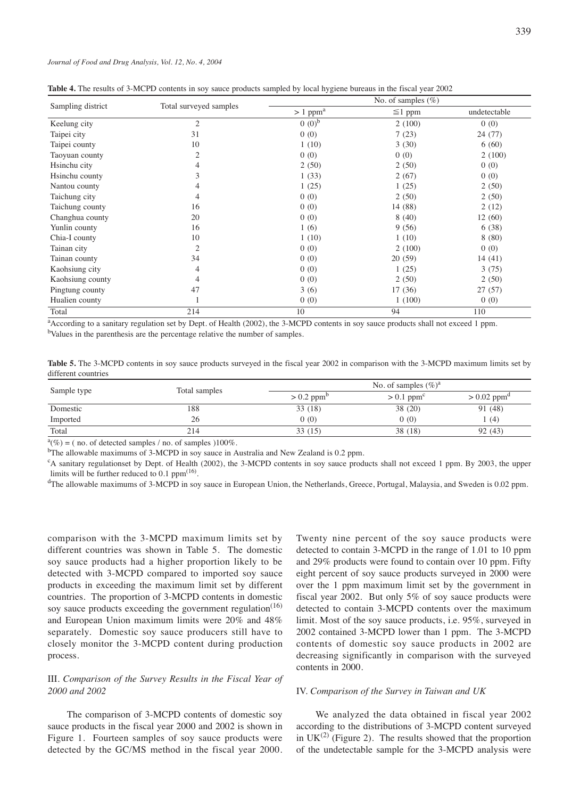|                   |                        | No. of samples $(\%)$  |              |              |
|-------------------|------------------------|------------------------|--------------|--------------|
| Sampling district | Total surveyed samples | $> 1$ ppm <sup>a</sup> | $\leq 1$ ppm | undetectable |
| Keelung city      | $\mathfrak{2}$         | $(0)(0)^{b}$           | 2(100)       | 0(0)         |
| Taipei city       | 31                     | 0(0)                   | 7(23)        | 24(77)       |
| Taipei county     | 10                     | 1(10)                  | 3(30)        | 6(60)        |
| Taoyuan county    | 2                      | 0(0)                   | 0(0)         | 2(100)       |
| Hsinchu city      | 4                      | 2(50)                  | 2(50)        | 0(0)         |
| Hsinchu county    | 3                      | 1(33)                  | 2(67)        | 0(0)         |
| Nantou county     | 4                      | 1(25)                  | 1(25)        | 2(50)        |
| Taichung city     | 4                      | 0(0)                   | 2(50)        | 2(50)        |
| Taichung county   | 16                     | 0(0)                   | 14 (88)      | 2(12)        |
| Changhua county   | 20                     | 0(0)                   | 8(40)        | 12(60)       |
| Yunlin county     | 16                     | 1(6)                   | 9(56)        | 6(38)        |
| Chia-I county     | 10                     | 1(10)                  | 1(10)        | 8(80)        |
| Tainan city       | 2                      | 0(0)                   | 2(100)       | 0(0)         |
| Tainan county     | 34                     | 0(0)                   | 20(59)       | 14(41)       |
| Kaohsiung city    | 4                      | 0(0)                   | 1(25)        | 3(75)        |
| Kaohsiung county  | 4                      | 0(0)                   | 2(50)        | 2(50)        |
| Pingtung county   | 47                     | 3(6)                   | 17(36)       | 27(57)       |
| Hualien county    |                        | 0(0)                   | 1(100)       | 0(0)         |
| Total             | 214                    | 10                     | 94           | 110          |

**Table 4.** The results of 3-MCPD contents in soy sauce products sampled by local hygiene bureaus in the fiscal year 2002

a According to a sanitary regulation set by Dept. of Health (2002), the 3-MCPD contents in soy sauce products shall not exceed 1 ppm. <sup>b</sup>Values in the parenthesis are the percentage relative the number of samples.

| Table 5. The 3-MCPD contents in soy sauce products surveyed in the fiscal year 2002 in comparison with the 3-MCPD maximum limits set by |  |  |  |  |
|-----------------------------------------------------------------------------------------------------------------------------------------|--|--|--|--|
| different countries                                                                                                                     |  |  |  |  |

| Sample type | Total samples |                          | No. of samples $(\%)^a$  |                           |
|-------------|---------------|--------------------------|--------------------------|---------------------------|
|             |               | $> 0.2$ ppm <sup>b</sup> | $> 0.1$ ppm <sup>c</sup> | $> 0.02$ ppm <sup>d</sup> |
| Domestic    | 188           | 33(18)                   | 38 (20)                  | 91 (48)                   |
| Imported    | 26            | (0)                      | 0(0)                     | (4)                       |
| Total       | 214           | 33(15)                   | 38 (18)                  | 92 (43)                   |

 $a(\%) = (no. of detected samples / no. of samples)100\%$ .

<sup>b</sup>The allowable maximums of 3-MCPD in soy sauce in Australia and New Zealand is 0.2 ppm.

<sup>c</sup>A sanitary regulationset by Dept. of Health (2002), the 3-MCPD contents in soy sauce products shall not exceed 1 ppm. By 2003, the upper limits will be further reduced to 0.1  $ppm^{(16)}$ .

<sup>d</sup>The allowable maximums of 3-MCPD in soy sauce in European Union, the Netherlands, Greece, Portugal, Malaysia, and Sweden is 0.02 ppm.

comparison with the 3-MCPD maximum limits set by different countries was shown in Table 5. The domestic soy sauce products had a higher proportion likely to be detected with 3-MCPD compared to imported soy sauce products in exceeding the maximum limit set by different countries. The proportion of 3-MCPD contents in domestic soy sauce products exceeding the government regulation $(16)$ and European Union maximum limits were 20% and 48% separately. Domestic soy sauce producers still have to closely monitor the 3-MCPD content during production process.

# III. *Comparison of the Survey Results in the Fiscal Year of 2000 and 2002*

The comparison of 3-MCPD contents of domestic soy sauce products in the fiscal year 2000 and 2002 is shown in Figure 1. Fourteen samples of soy sauce products were detected by the GC/MS method in the fiscal year 2000.

Twenty nine percent of the soy sauce products were detected to contain 3-MCPD in the range of 1.01 to 10 ppm and 29% products were found to contain over 10 ppm. Fifty eight percent of soy sauce products surveyed in 2000 were over the 1 ppm maximum limit set by the government in fiscal year 2002. But only 5% of soy sauce products were detected to contain 3-MCPD contents over the maximum limit. Most of the soy sauce products, i.e. 95%, surveyed in 2002 contained 3-MCPD lower than 1 ppm. The 3-MCPD contents of domestic soy sauce products in 2002 are decreasing significantly in comparison with the surveyed contents in 2000.

#### IV. *Comparison of the Survey in Taiwan and UK*

We analyzed the data obtained in fiscal year 2002 according to the distributions of 3-MCPD content surveyed in  $UK^{(2)}$  (Figure 2). The results showed that the proportion of the undetectable sample for the 3-MCPD analysis were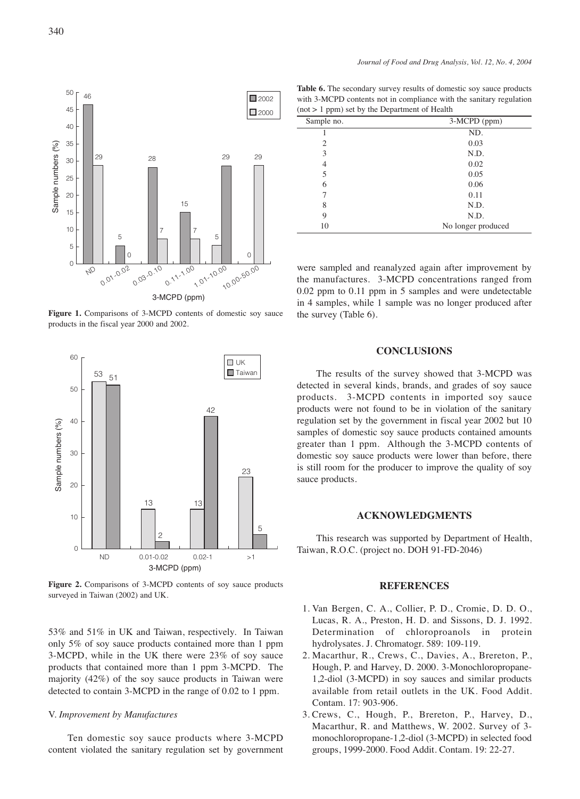

**Figure 1.** Comparisons of 3-MCPD contents of domestic soy sauce products in the fiscal year 2000 and 2002.



**Figure 2.** Comparisons of 3-MCPD contents of soy sauce products surveyed in Taiwan (2002) and UK.

53% and 51% in UK and Taiwan, respectively. In Taiwan only 5% of soy sauce products contained more than 1 ppm 3-MCPD, while in the UK there were 23% of soy sauce products that contained more than 1 ppm 3-MCPD. The majority (42%) of the soy sauce products in Taiwan were detected to contain 3-MCPD in the range of 0.02 to 1 ppm.

# V. *Improvement by Manufactures*

Ten domestic soy sauce products where 3-MCPD content violated the sanitary regulation set by government

**Table 6.** The secondary survey results of domestic soy sauce products with 3-MCPD contents not in compliance with the sanitary regulation  $(not > 1$  ppm) set by the Department of Health

| Sample no.     | 3-MCPD (ppm)       |
|----------------|--------------------|
|                | ND.                |
| $\overline{c}$ | 0.03               |
| 3              | N.D.               |
| 4              | 0.02               |
| 5              | 0.05               |
| 6              | 0.06               |
|                | 0.11               |
| 8              | N.D.               |
| 9              | N.D.               |
| 10             | No longer produced |

were sampled and reanalyzed again after improvement by the manufactures. 3-MCPD concentrations ranged from 0.02 ppm to 0.11 ppm in 5 samples and were undetectable in 4 samples, while 1 sample was no longer produced after the survey (Table 6).

# **CONCLUSIONS**

The results of the survey showed that 3-MCPD was detected in several kinds, brands, and grades of soy sauce products. 3-MCPD contents in imported soy sauce products were not found to be in violation of the sanitary regulation set by the government in fiscal year 2002 but 10 samples of domestic soy sauce products contained amounts greater than 1 ppm. Although the 3-MCPD contents of domestic soy sauce products were lower than before, there is still room for the producer to improve the quality of soy sauce products.

# **ACKNOWLEDGMENTS**

This research was supported by Department of Health, Taiwan, R.O.C. (project no. DOH 91-FD-2046)

## **REFERENCES**

- 1. Van Bergen, C. A., Collier, P. D., Cromie, D. D. O., Lucas, R. A., Preston, H. D. and Sissons, D. J. 1992. Determination of chloroproanols in protein hydrolysates. J. Chromatogr. 589: 109-119.
- 2. Macarthur, R., Crews, C., Davies, A., Brereton, P., Hough, P. and Harvey, D. 2000. 3-Monochloropropane-1,2-diol (3-MCPD) in soy sauces and similar products available from retail outlets in the UK. Food Addit. Contam. 17: 903-906.
- 3. Crews, C., Hough, P., Brereton, P., Harvey, D., Macarthur, R. and Matthews, W. 2002. Survey of 3 monochloropropane-1,2-diol (3-MCPD) in selected food groups, 1999-2000. Food Addit. Contam. 19: 22-27.